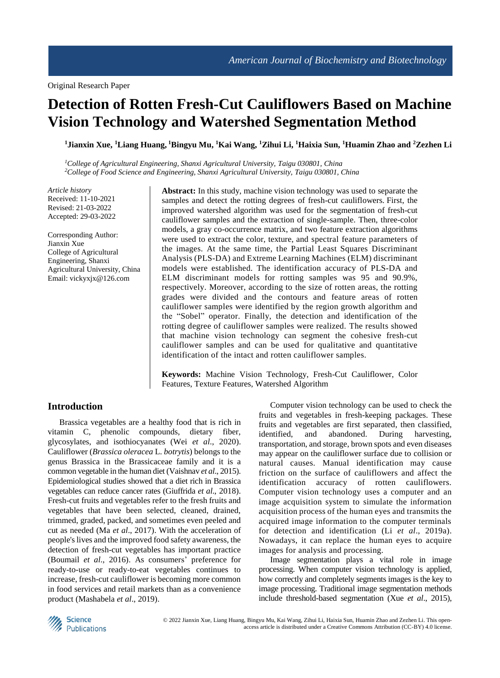# **Detection of Rotten Fresh-Cut Cauliflowers Based on Machine Vision Technology and Watershed Segmentation Method**

**<sup>1</sup>Jianxin Xue, <sup>1</sup>Liang Huang, <sup>1</sup>Bingyu Mu, <sup>1</sup>Kai Wang, <sup>1</sup>Zihui Li, <sup>1</sup>Haixia Sun, <sup>1</sup>Huamin Zhao and <sup>2</sup>Zezhen Li**

*<sup>1</sup>College of Agricultural Engineering, Shanxi Agricultural University, Taigu 030801, China <sup>2</sup>College of Food Science and Engineering, Shanxi Agricultural University, Taigu 030801, China*

*Article history* Received: 11-10-2021 Revised: 21-03-2022 Accepted: 29-03-2022

Corresponding Author: Jianxin Xue College of Agricultural Engineering, Shanxi Agricultural University, China Email: vickyxjx@126.com

**Abstract:** In this study, machine vision technology was used to separate the samples and detect the rotting degrees of fresh-cut cauliflowers. First, the improved watershed algorithm was used for the segmentation of fresh-cut cauliflower samples and the extraction of single-sample. Then, three-color models, a gray co-occurrence matrix, and two feature extraction algorithms were used to extract the color, texture, and spectral feature parameters of the images. At the same time, the Partial Least Squares Discriminant Analysis (PLS-DA) and Extreme Learning Machines (ELM) discriminant models were established. The identification accuracy of PLS-DA and ELM discriminant models for rotting samples was 95 and 90.9%, respectively. Moreover, according to the size of rotten areas, the rotting grades were divided and the contours and feature areas of rotten cauliflower samples were identified by the region growth algorithm and the "Sobel" operator. Finally, the detection and identification of the rotting degree of cauliflower samples were realized. The results showed that machine vision technology can segment the cohesive fresh-cut cauliflower samples and can be used for qualitative and quantitative identification of the intact and rotten cauliflower samples.

**Keywords:** Machine Vision Technology, Fresh-Cut Cauliflower, Color Features, Texture Features, Watershed Algorithm

## **Introduction**

Brassica vegetables are a healthy food that is rich in vitamin C, phenolic compounds, dietary fiber, glycosylates, and isothiocyanates (Wei *et al*., 2020). Cauliflower (*Brassica oleracea* L. *botrytis*) belongs to the genus Brassica in the Brassicaceae family and it is a common vegetable in the human diet (Vaishnav *et al*., 2015). Epidemiological studies showed that a diet rich in Brassica vegetables can reduce cancer rates (Giuffrida *et al*., 2018). Fresh-cut fruits and vegetables refer to the fresh fruits and vegetables that have been selected, cleaned, drained, trimmed, graded, packed, and sometimes even peeled and cut as needed (Ma *et al*., 2017). With the acceleration of people's lives and the improved food safety awareness, the detection of fresh-cut vegetables has important practice (Boumail *et al*., 2016). As consumers' preference for ready-to-use or ready-to-eat vegetables continues to increase, fresh-cut cauliflower is becoming more common in food services and retail markets than as a convenience product (Mashabela *et al*., 2019).

Computer vision technology can be used to check the fruits and vegetables in fresh-keeping packages. These fruits and vegetables are first separated, then classified, identified, and abandoned. During harvesting, transportation, and storage, brown spots and even diseases may appear on the cauliflower surface due to collision or natural causes. Manual identification may cause friction on the surface of cauliflowers and affect the identification accuracy of rotten cauliflowers. Computer vision technology uses a computer and an image acquisition system to simulate the information acquisition process of the human eyes and transmits the acquired image information to the computer terminals for detection and identification (Li *et al*., 2019a). Nowadays, it can replace the human eyes to acquire images for analysis and processing.

Image segmentation plays a vital role in image processing. When computer vision technology is applied, how correctly and completely segments images is the key to image processing. Traditional image segmentation methods include threshold-based segmentation (Xue *et al*., 2015),

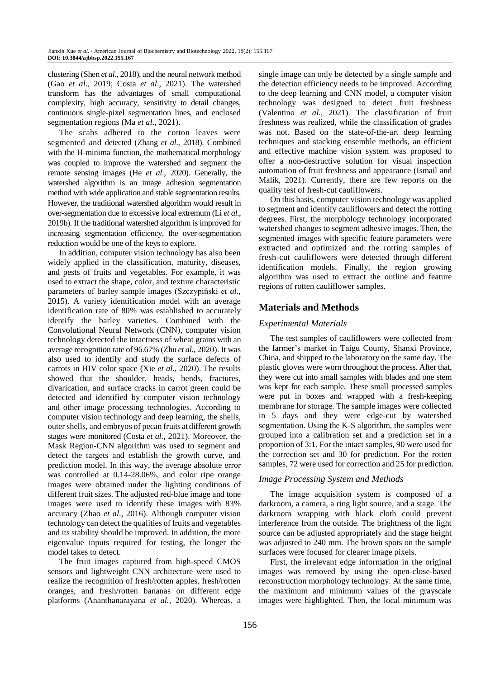clustering (Shen *et al*., 2018), and the neural network method (Gao *et al*., 2019; Costa *et al*., 2021). The watershed transform has the advantages of small computational complexity, high accuracy, sensitivity to detail changes, continuous single-pixel segmentation lines, and enclosed segmentation regions (Ma *et al*., 2021).

The scabs adhered to the cotton leaves were segmented and detected (Zhang *et al*., 2018). Combined with the H-minima function, the mathematical morphology was coupled to improve the watershed and segment the remote sensing images (He *et al*., 2020). Generally, the watershed algorithm is an image adhesion segmentation method with wide application and stable segmentation results. However, the traditional watershed algorithm would result in over-segmentation due to excessive local extremum (Li *et al*., 2019b). If the traditional watershed algorithm is improved for increasing segmentation efficiency, the over-segmentation reduction would be one of the keys to explore.

In addition, computer vision technology has also been widely applied in the classification, maturity, diseases, and pests of fruits and vegetables. For example, it was used to extract the shape, color, and texture characteristic parameters of barley sample images (Szczypiński *et al*., 2015). A variety identification model with an average identification rate of 80% was established to accurately identify the barley varieties. Combined with the Convolutional Neural Network (CNN), computer vision technology detected the intactness of wheat grains with an average recognition rate of 96.67% (Zhu *et al*., 2020). It was also used to identify and study the surface defects of carrots in HIV color space (Xie *et al*., 2020). The results showed that the shoulder, heads, bends, fractures, divarication, and surface cracks in carrot green could be detected and identified by computer vision technology and other image processing technologies. According to computer vision technology and deep learning, the shells, outer shells, and embryos of pecan fruits at different growth stages were monitored (Costa *et al*., 2021). Moreover, the Mask Region-CNN algorithm was used to segment and detect the targets and establish the growth curve, and prediction model. In this way, the average absolute error was controlled at 0.14-28.06%, and color ripe orange images were obtained under the lighting conditions of different fruit sizes. The adjusted red-blue image and tone images were used to identify these images with 83% accuracy (Zhao *et al*., 2016). Although computer vision technology can detect the qualities of fruits and vegetables and its stability should be improved. In addition, the more eigenvalue inputs required for testing, the longer the model takes to detect.

The fruit images captured from high-speed CMOS sensors and lightweight CNN architecture were used to realize the recognition of fresh/rotten apples, fresh/rotten oranges, and fresh/rotten bananas on different edge platforms (Ananthanarayana *et al.*, 2020). Whereas, a

single image can only be detected by a single sample and the detection efficiency needs to be improved. According to the deep learning and CNN model, a computer vision technology was designed to detect fruit freshness (Valentino *et al*., 2021). The classification of fruit freshness was realized, while the classification of grades was not. Based on the state-of-the-art deep learning techniques and stacking ensemble methods, an efficient and effective machine vision system was proposed to offer a non-destructive solution for visual inspection automation of fruit freshness and appearance (Ismail and Malik, 2021). Currently, there are few reports on the quality test of fresh-cut cauliflowers.

On this basis, computer vision technology was applied to segment and identify cauliflowers and detect the rotting degrees. First, the morphology technology incorporated watershed changes to segment adhesive images. Then, the segmented images with specific feature parameters were extracted and optimized and the rotting samples of fresh-cut cauliflowers were detected through different identification models. Finally, the region growing algorithm was used to extract the outline and feature regions of rotten cauliflower samples.

## **Materials and Methods**

## *Experimental Materials*

The test samples of cauliflowers were collected from the farmer's market in Taigu County, Shanxi Province, China, and shipped to the laboratory on the same day. The plastic gloves were worn throughout the process. After that, they were cut into small samples with blades and one stem was kept for each sample. These small processed samples were put in boxes and wrapped with a fresh-keeping membrane for storage. The sample images were collected in 5 days and they were edge-cut by watershed segmentation. Using the K-S algorithm, the samples were grouped into a calibration set and a prediction set in a proportion of 3:1. For the intact samples, 90 were used for the correction set and 30 for prediction. For the rotten samples, 72 were used for correction and 25 for prediction.

### *Image Processing System and Methods*

The image acquisition system is composed of a darkroom, a camera, a ring light source, and a stage. The darkroom wrapping with black cloth could prevent interference from the outside. The brightness of the light source can be adjusted appropriately and the stage height was adjusted to 240 mm. The brown spots on the sample surfaces were focused for clearer image pixels.

First, the irrelevant edge information in the original images was removed by using the open-close-based reconstruction morphology technology. At the same time, the maximum and minimum values of the grayscale images were highlighted. Then, the local minimum was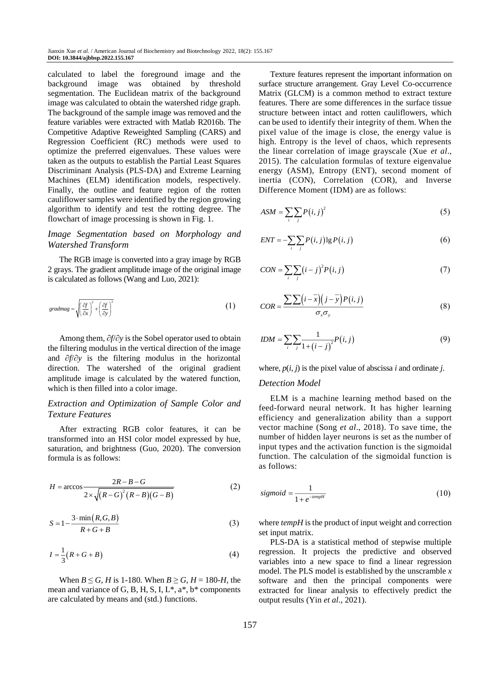calculated to label the foreground image and the background image was obtained by threshold segmentation. The Euclidean matrix of the background image was calculated to obtain the watershed ridge graph. The background of the sample image was removed and the feature variables were extracted with Matlab R2016b. The Competitive Adaptive Reweighted Sampling (CARS) and Regression Coefficient (RC) methods were used to optimize the preferred eigenvalues. These values were taken as the outputs to establish the Partial Least Squares Discriminant Analysis (PLS-DA) and Extreme Learning Machines (ELM) identification models, respectively. Finally, the outline and feature region of the rotten cauliflower samples were identified by the region growing algorithm to identify and test the rotting degree. The flowchart of image processing is shown in Fig. 1.

## *Image Segmentation based on Morphology and Watershed Transform*

The RGB image is converted into a gray image by RGB 2 grays. The gradient amplitude image of the original image is calculated as follows (Wang and Luo, 2021):

$$
gradmag = \sqrt{\left(\frac{\partial f}{\partial x}\right)^2 + \left(\frac{\partial f}{\partial y}\right)^2}
$$
 (1)

Among them,  $\partial f / \partial y$  is the Sobel operator used to obtain the filtering modulus in the vertical direction of the image and  $\partial f/\partial y$  is the filtering modulus in the horizontal direction. The watershed of the original gradient amplitude image is calculated by the watered function, which is then filled into a color image.

## *Extraction and Optimization of Sample Color and Texture Features*

After extracting RGB color features, it can be transformed into an HSI color model expressed by hue, saturation, and brightness (Guo, 2020). The conversion formula is as follows:

$$
H = \arccos \frac{2R - B - G}{2 \times \sqrt{(R - G)^{2} (R - B)(G - B)}}
$$
(2)

$$
S = 1 - \frac{3 \cdot \min(R, G, B)}{R + G + B} \tag{3}
$$

$$
I = \frac{1}{3}(R + G + B)
$$
 (4)

When  $B \le G$ , *H* is 1-180. When  $B \ge G$ ,  $H = 180$ -*H*, the mean and variance of G, B, H, S, I,  $L^*$ ,  $a^*$ ,  $b^*$  components are calculated by means and (std.) functions.

Texture features represent the important information on surface structure arrangement. Gray Level Co-occurrence Matrix (GLCM) is a common method to extract texture features. There are some differences in the surface tissue structure between intact and rotten cauliflowers, which can be used to identify their integrity of them. When the pixel value of the image is close, the energy value is high. Entropy is the level of chaos, which represents the linear correlation of image grayscale (Xue *et al*., 2015). The calculation formulas of texture eigenvalue energy (ASM), Entropy (ENT), second moment of inertia (CON), Correlation (COR), and Inverse Difference Moment (IDM) are as follows:

$$
ASM = \sum_{i} \sum_{j} P(i, j)^2
$$
 (5)

$$
ENT = -\sum_{i} \sum_{j} P(i, j) \lg P(i, j) \tag{6}
$$

$$
CON = \sum_{i} \sum_{j} (i - j)^{2} P(i, j)
$$
\n(7)

$$
COR = \frac{\sum \sum (i - \overline{x})(j - \overline{y})P(i, j)}{\sigma_x \sigma_y}
$$
(8)

$$
IDM = \sum_{i} \sum_{j} \frac{1}{1 + (i - j)^2} P(i, j)
$$
\n(9)

where,  $p(i, j)$  is the pixel value of abscissa *i* and ordinate *j*.

## *Detection Model*

ELM is a machine learning method based on the feed-forward neural network. It has higher learning efficiency and generalization ability than a support vector machine (Song *et al*., 2018). To save time, the number of hidden layer neurons is set as the number of input types and the activation function is the sigmoidal function. The calculation of the sigmoidal function is as follows:

$$
sigmoid = \frac{1}{1 + e^{-tempH}}\tag{10}
$$

where *tempH* is the product of input weight and correction set input matrix.

PLS-DA is a statistical method of stepwise multiple regression. It projects the predictive and observed variables into a new space to find a linear regression model. The PLS model is established by the unscramble *x* software and then the principal components were extracted for linear analysis to effectively predict the output results (Yin *et al*., 2021).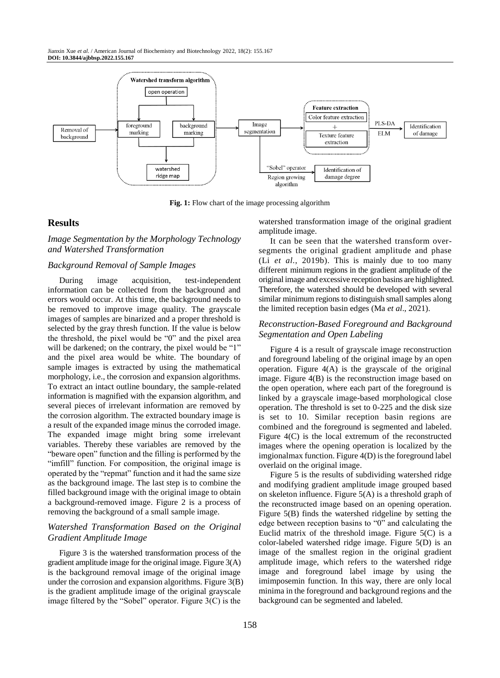

**Fig. 1:** Flow chart of the image processing algorithm

## **Results**

## *Image Segmentation by the Morphology Technology and Watershed Transformation*

#### *Background Removal of Sample Images*

During image acquisition, test-independent information can be collected from the background and errors would occur. At this time, the background needs to be removed to improve image quality. The grayscale images of samples are binarized and a proper threshold is selected by the gray thresh function. If the value is below the threshold, the pixel would be "0" and the pixel area will be darkened; on the contrary, the pixel would be "1" and the pixel area would be white. The boundary of sample images is extracted by using the mathematical morphology, i.e., the corrosion and expansion algorithms. To extract an intact outline boundary, the sample-related information is magnified with the expansion algorithm, and several pieces of irrelevant information are removed by the corrosion algorithm. The extracted boundary image is a result of the expanded image minus the corroded image. The expanded image might bring some irrelevant variables. Thereby these variables are removed by the "beware open" function and the filling is performed by the "imfill" function. For composition, the original image is operated by the "repmat" function and it had the same size as the background image. The last step is to combine the filled background image with the original image to obtain a background-removed image. Figure 2 is a process of removing the background of a small sample image.

## *Watershed Transformation Based on the Original Gradient Amplitude Image*

Figure 3 is the watershed transformation process of the gradient amplitude image for the original image. Figure 3(A) is the background removal image of the original image under the corrosion and expansion algorithms. Figure 3(B) is the gradient amplitude image of the original grayscale image filtered by the "Sobel" operator. Figure 3(C) is the

watershed transformation image of the original gradient amplitude image.

It can be seen that the watershed transform oversegments the original gradient amplitude and phase (Li *et al*., 2019b). This is mainly due to too many different minimum regions in the gradient amplitude of the original image and excessive reception basins are highlighted. Therefore, the watershed should be developed with several similar minimum regions to distinguish small samples along the limited reception basin edges (Ma *et al*., 2021).

## *Reconstruction-Based Foreground and Background Segmentation and Open Labeling*

Figure 4 is a result of grayscale image reconstruction and foreground labeling of the original image by an open operation. Figure  $4(A)$  is the grayscale of the original image. Figure 4(B) is the reconstruction image based on the open operation, where each part of the foreground is linked by a grayscale image-based morphological close operation. The threshold is set to 0-225 and the disk size is set to 10. Similar reception basin regions are combined and the foreground is segmented and labeled. Figure 4(C) is the local extremum of the reconstructed images where the opening operation is localized by the imgionalmax function. Figure 4(D) is the foreground label overlaid on the original image.

Figure 5 is the results of subdividing watershed ridge and modifying gradient amplitude image grouped based on skeleton influence. Figure 5(A) is a threshold graph of the reconstructed image based on an opening operation. Figure 5(B) finds the watershed ridgeline by setting the edge between reception basins to "0" and calculating the Euclid matrix of the threshold image. Figure  $5(C)$  is a color-labeled watershed ridge image. Figure 5(D) is an image of the smallest region in the original gradient amplitude image, which refers to the watershed ridge image and foreground label image by using the imimposemin function. In this way, there are only local minima in the foreground and background regions and the background can be segmented and labeled.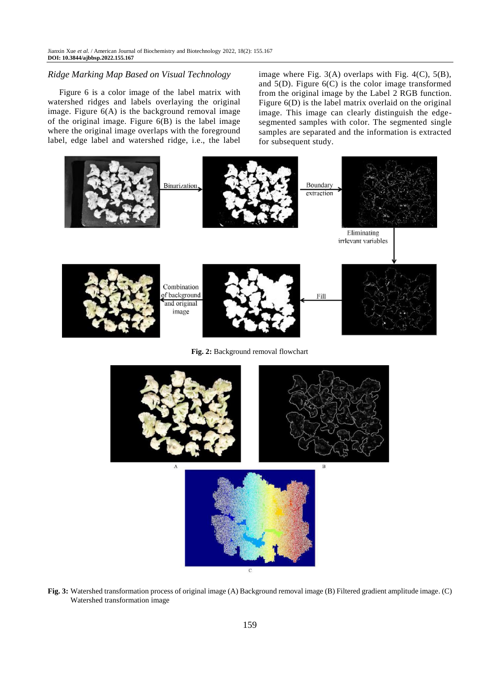## *Ridge Marking Map Based on Visual Technology*

Figure 6 is a color image of the label matrix with watershed ridges and labels overlaying the original image. Figure 6(A) is the background removal image of the original image. Figure  $6(B)$  is the label image where the original image overlaps with the foreground label, edge label and watershed ridge, i.e., the label image where Fig. 3(A) overlaps with Fig. 4(C), 5(B), and  $5(D)$ . Figure  $6(C)$  is the color image transformed from the original image by the Label 2 RGB function. Figure 6(D) is the label matrix overlaid on the original image. This image can clearly distinguish the edgesegmented samples with color. The segmented single samples are separated and the information is extracted for subsequent study.



**Fig. 2:** Background removal flowchart



**Fig. 3:** Watershed transformation process of original image (A) Background removal image (B) Filtered gradient amplitude image. (C) Watershed transformation image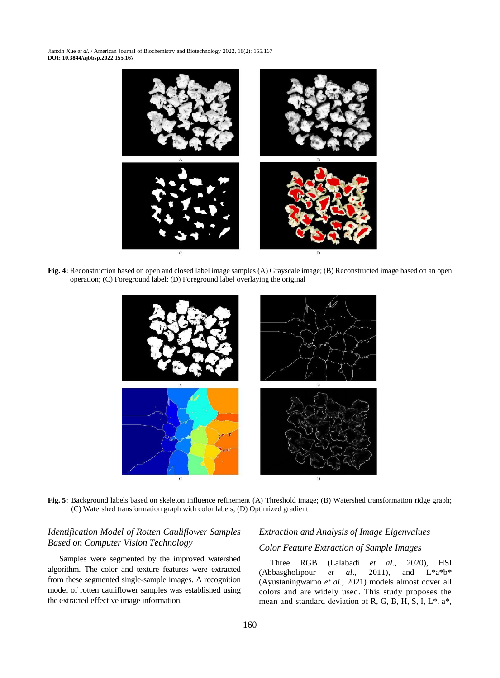Jianxin Xue *et al*. / American Journal of Biochemistry and Biotechnology 2022, 18(2): 155.167 **DOI: 10.3844/ajbbsp.2022.155.167**



**Fig. 4:** Reconstruction based on open and closed label image samples (A) Grayscale image; (B) Reconstructed image based on an open operation; (C) Foreground label; (D) Foreground label overlaying the original



**Fig. 5:** Background labels based on skeleton influence refinement (A) Threshold image; (B) Watershed transformation ridge graph; (C) Watershed transformation graph with color labels; (D) Optimized gradient

## *Identification Model of Rotten Cauliflower Samples Based on Computer Vision Technology*

Samples were segmented by the improved watershed algorithm. The color and texture features were extracted from these segmented single-sample images. A recognition model of rotten cauliflower samples was established using the extracted effective image information.

## *Extraction and Analysis of Image Eigenvalues Color Feature Extraction of Sample Images*

Three RGB (Lalabadi *et al*., 2020), HSI (Abbasgholipour *et al*., 2011), and L\*a\*b\* (Ayustaningwarno *et al*., 2021) models almost cover all colors and are widely used. This study proposes the mean and standard deviation of R, G, B, H, S, I, L\*, a\*,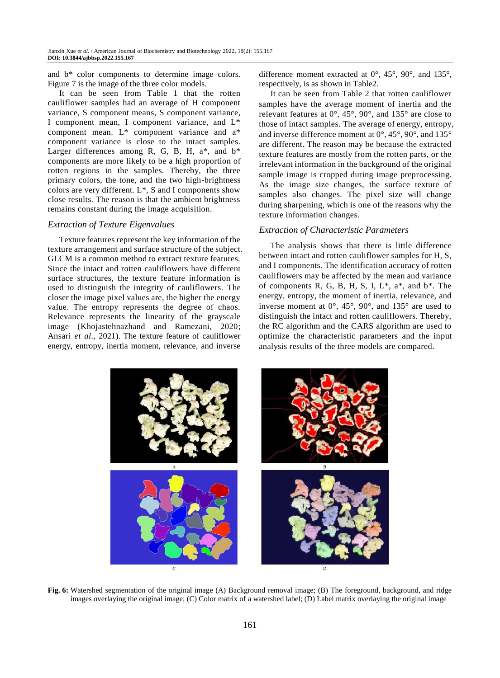and b\* color components to determine image colors. Figure 7 is the image of the three color models.

It can be seen from Table 1 that the rotten cauliflower samples had an average of H component variance, S component means, S component variance, I component mean, I component variance, and L\* component mean. L\* component variance and a\* component variance is close to the intact samples. Larger differences among R, G, B, H,  $a^*$ , and  $b^*$ components are more likely to be a high proportion of rotten regions in the samples. Thereby, the three primary colors, the tone, and the two high-brightness colors are very different. L\*, S and I components show close results. The reason is that the ambient brightness remains constant during the image acquisition.

#### *Extraction of Texture Eigenvalues*

Texture features represent the key information of the texture arrangement and surface structure of the subject. GLCM is a common method to extract texture features. Since the intact and rotten cauliflowers have different surface structures, the texture feature information is used to distinguish the integrity of cauliflowers. The closer the image pixel values are, the higher the energy value. The entropy represents the degree of chaos. Relevance represents the linearity of the grayscale image (Khojastehnazhand and Ramezani, 2020; Ansari *et al*., 2021). The texture feature of cauliflower energy, entropy, inertia moment, relevance, and inverse

difference moment extracted at 0°, 45°, 90°, and 135°, respectively, is as shown in Table2.

It can be seen from Table 2 that rotten cauliflower samples have the average moment of inertia and the relevant features at 0°, 45°, 90°, and 135° are close to those of intact samples. The average of energy, entropy, and inverse difference moment at 0°, 45°, 90°, and 135° are different. The reason may be because the extracted texture features are mostly from the rotten parts, or the irrelevant information in the background of the original sample image is cropped during image preprocessing. As the image size changes, the surface texture of samples also changes. The pixel size will change during sharpening, which is one of the reasons why the texture information changes.

#### *Extraction of Characteristic Parameters*

The analysis shows that there is little difference between intact and rotten cauliflower samples for H, S, and I components. The identification accuracy of rotten cauliflowers may be affected by the mean and variance of components R, G, B, H, S, I,  $L^*$ ,  $a^*$ , and  $b^*$ . The energy, entropy, the moment of inertia, relevance, and inverse moment at  $0^\circ$ ,  $45^\circ$ ,  $90^\circ$ , and  $135^\circ$  are used to distinguish the intact and rotten cauliflowers. Thereby, the RC algorithm and the CARS algorithm are used to optimize the characteristic parameters and the input analysis results of the three models are compared.



**Fig. 6:** Watershed segmentation of the original image (A) Background removal image; (B) The foreground, background, and ridge images overlaying the original image; (C) Color matrix of a watershed label; (D) Label matrix overlaying the original image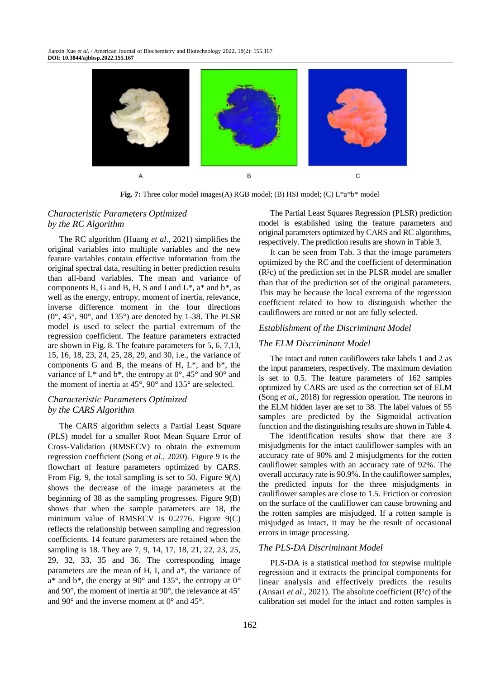

**Fig. 7:** Three color model images(A) RGB model; (B) HSI model; (C) L<sup>\*</sup>a<sup>\*b\*</sup> model

## *Characteristic Parameters Optimized by the RC Algorithm*

The RC algorithm (Huang *et al*., 2021) simplifies the original variables into multiple variables and the new feature variables contain effective information from the original spectral data, resulting in better prediction results than all-band variables. The mean and variance of components R, G and B, H, S and I and  $L^*$ , a\* and  $b^*$ , as well as the energy, entropy, moment of inertia, relevance, inverse difference moment in the four directions  $(0^{\circ}, 45^{\circ}, 90^{\circ}, \text{ and } 135^{\circ})$  are denoted by 1-38. The PLSR model is used to select the partial extremum of the regression coefficient. The feature parameters extracted are shown in Fig. 8. The feature parameters for 5, 6, 7,13, 15, 16, 18, 23, 24, 25, 28, 29, and 30, i.e., the variance of components G and B, the means of H,  $L^*$ , and  $b^*$ , the variance of  $L^*$  and  $b^*$ , the entropy at  $0^{\circ}$ , 45° and 90° and the moment of inertia at 45°, 90° and 135° are selected.

## *Characteristic Parameters Optimized by the CARS Algorithm*

The CARS algorithm selects a Partial Least Square (PLS) model for a smaller Root Mean Square Error of Cross-Validation (RMSECV) to obtain the extremum regression coefficient (Song *et al*., 2020). Figure 9 is the flowchart of feature parameters optimized by CARS. From Fig. 9, the total sampling is set to 50. Figure 9(A) shows the decrease of the image parameters at the beginning of 38 as the sampling progresses. Figure 9(B) shows that when the sample parameters are 18, the minimum value of RMSECV is 0.2776. Figure 9(C) reflects the relationship between sampling and regression coefficients. 14 feature parameters are retained when the sampling is 18. They are 7, 9, 14, 17, 18, 21, 22, 23, 25, 29, 32, 33, 35 and 36. The corresponding image parameters are the mean of H, I, and a\*, the variance of  $a^*$  and  $b^*$ , the energy at 90 $\degree$  and 135 $\degree$ , the entropy at 0 $\degree$ and 90°, the moment of inertia at 90°, the relevance at 45° and 90° and the inverse moment at 0° and 45°.

The Partial Least Squares Regression (PLSR) prediction model is established using the feature parameters and original parameters optimized by CARS and RC algorithms, respectively. The prediction results are shown in Table 3.

It can be seen from Tab. 3 that the image parameters optimized by the RC and the coefficient of determination (R²c) of the prediction set in the PLSR model are smaller than that of the prediction set of the original parameters. This may be because the local extrema of the regression coefficient related to how to distinguish whether the cauliflowers are rotted or not are fully selected.

#### *Establishment of the Discriminant Model*

#### *The ELM Discriminant Model*

The intact and rotten cauliflowers take labels 1 and 2 as the input parameters, respectively. The maximum deviation is set to 0.5. The feature parameters of 162 samples optimized by CARS are used as the correction set of ELM (Song *et al*., 2018) for regression operation. The neurons in the ELM hidden layer are set to 38. The label values of 55 samples are predicted by the Sigmoidal activation function and the distinguishing results are shown in Table 4.

The identification results show that there are 3 misjudgments for the intact cauliflower samples with an accuracy rate of 90% and 2 misjudgments for the rotten cauliflower samples with an accuracy rate of 92%. The overall accuracy rate is 90.9%. In the cauliflower samples, the predicted inputs for the three misjudgments in cauliflower samples are close to 1.5. Friction or corrosion on the surface of the cauliflower can cause browning and the rotten samples are misjudged. If a rotten sample is misjudged as intact, it may be the result of occasional errors in image processing.

#### *The PLS-DA Discriminant Model*

PLS-DA is a statistical method for stepwise multiple regression and it extracts the principal components for linear analysis and effectively predicts the results (Ansari *et al*., 2021). The absolute coefficient (R²c) of the calibration set model for the intact and rotten samples is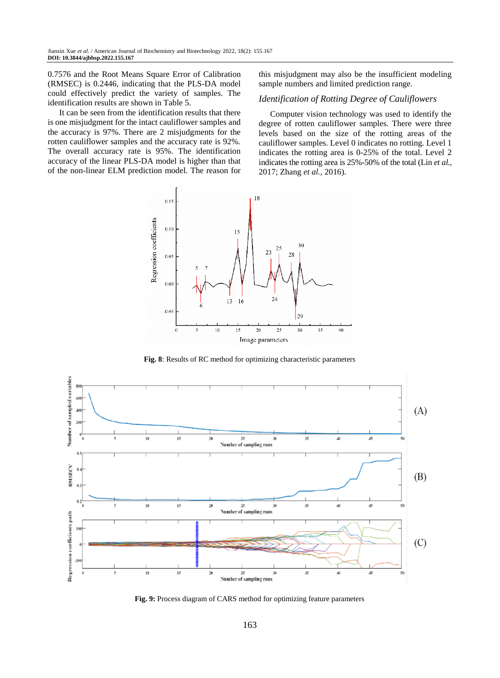0.7576 and the Root Means Square Error of Calibration (RMSEC) is 0.2446, indicating that the PLS-DA model could effectively predict the variety of samples. The identification results are shown in Table 5.

It can be seen from the identification results that there is one misjudgment for the intact cauliflower samples and the accuracy is 97%. There are 2 misjudgments for the rotten cauliflower samples and the accuracy rate is 92%. The overall accuracy rate is 95%. The identification accuracy of the linear PLS-DA model is higher than that of the non-linear ELM prediction model. The reason for this misjudgment may also be the insufficient modeling sample numbers and limited prediction range.

## *Identification of Rotting Degree of Cauliflowers*

Computer vision technology was used to identify the degree of rotten cauliflower samples. There were three levels based on the size of the rotting areas of the cauliflower samples. Level 0 indicates no rotting. Level 1 indicates the rotting area is 0-25% of the total. Level 2 indicates the rotting area is 25%-50% of the total (Lin *et al.,* 2017; Zhang *et al.,* 2016).



**Fig. 8**: Results of RC method for optimizing characteristic parameters



**Fig. 9:** Process diagram of CARS method for optimizing feature parameters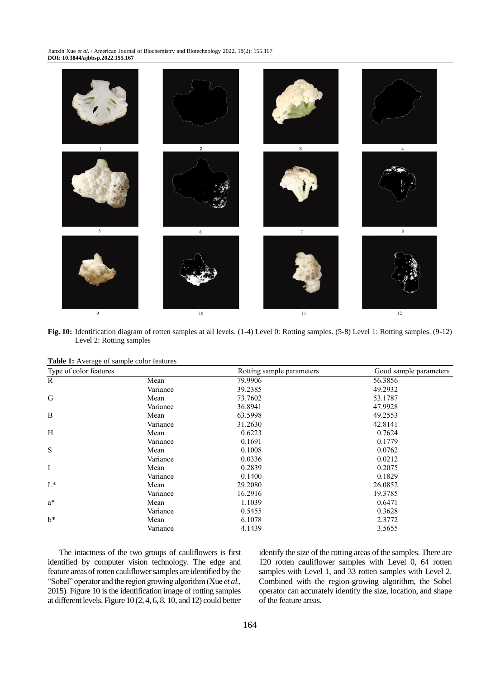Jianxin Xue *et al*. / American Journal of Biochemistry and Biotechnology 2022, 18(2): 155.167 **DOI: 10.3844/ajbbsp.2022.155.167**



**Fig. 10:** Identification diagram of rotten samples at all levels. (1-4) Level 0: Rotting samples. (5-8) Level 1: Rotting samples. (9-12) Level 2: Rotting samples

| <b>Table 1:</b> Average of sample color features |                        |  |
|--------------------------------------------------|------------------------|--|
|                                                  | Type of color features |  |
|                                                  |                        |  |

| Type of color features |          | Rotting sample parameters | Good sample parameters |
|------------------------|----------|---------------------------|------------------------|
| R                      | Mean     | 79.9906                   | 56.3856                |
|                        | Variance | 39.2385                   | 49.2932                |
| G                      | Mean     | 73.7602                   | 53.1787                |
|                        | Variance | 36.8941                   | 47.9928                |
| B                      | Mean     | 63.5998                   | 49.2553                |
|                        | Variance | 31.2630                   | 42.8141                |
| H                      | Mean     | 0.6223                    | 0.7624                 |
|                        | Variance | 0.1691                    | 0.1779                 |
| S                      | Mean     | 0.1008                    | 0.0762                 |
|                        | Variance | 0.0336                    | 0.0212                 |
| I                      | Mean     | 0.2839                    | 0.2075                 |
|                        | Variance | 0.1400                    | 0.1829                 |
| $L^*$                  | Mean     | 29.2080                   | 26.0852                |
|                        | Variance | 16.2916                   | 19.3785                |
| $a^*$                  | Mean     | 1.1039                    | 0.6471                 |
|                        | Variance | 0.5455                    | 0.3628                 |
| $h^*$                  | Mean     | 6.1078                    | 2.3772                 |
|                        | Variance | 4.1439                    | 3.5655                 |

The intactness of the two groups of cauliflowers is first identified by computer vision technology. The edge and feature areas of rotten cauliflower samples are identified by the "Sobel" operator and the region growing algorithm (Xue *et al*., 2015). Figure 10 is the identification image of rotting samples at different levels. Figure 10 (2, 4, 6, 8, 10, and 12) could better identify the size of the rotting areas of the samples. There are 120 rotten cauliflower samples with Level 0, 64 rotten samples with Level 1, and 33 rotten samples with Level 2. Combined with the region-growing algorithm, the Sobel operator can accurately identify the size, location, and shape of the feature areas.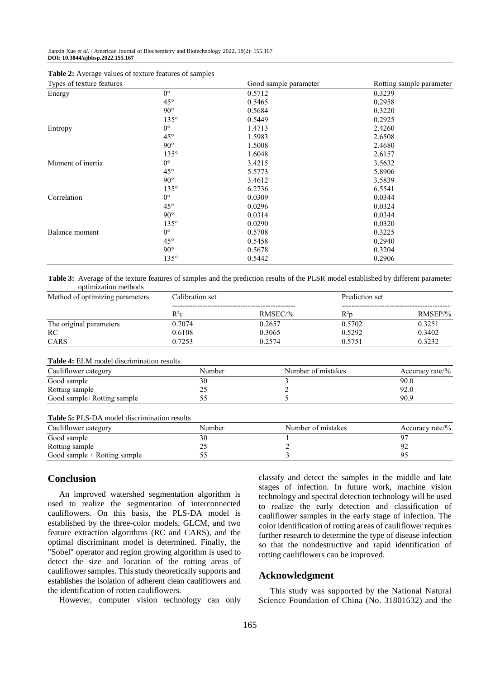| Types of texture features |              | Good sample parameter | Rotting sample parameter |
|---------------------------|--------------|-----------------------|--------------------------|
| Energy                    | $0^{\circ}$  | 0.5712                | 0.3239                   |
|                           | $45^{\circ}$ | 0.5465                | 0.2958                   |
|                           | $90^\circ$   | 0.5684                | 0.3220                   |
|                           | $135^\circ$  | 0.5449                | 0.2925                   |
| Entropy                   | $0^{\circ}$  | 1.4713                | 2.4260                   |
|                           | $45^{\circ}$ | 1.5983                | 2.6508                   |
|                           | $90^\circ$   | 1.5008                | 2.4680                   |
|                           | $135^\circ$  | 1.6048                | 2.6157                   |
| Moment of inertia         | $0^{\circ}$  | 3.4215                | 3.5632                   |
|                           | $45^{\circ}$ | 5.5773                | 5.8906                   |
|                           | $90^\circ$   | 3.4612                | 3.5839                   |
|                           | $135^\circ$  | 6.2736                | 6.5541                   |
| Correlation               | $0^{\circ}$  | 0.0309                | 0.0344                   |
|                           | $45^{\circ}$ | 0.0296                | 0.0324                   |
|                           | $90^\circ$   | 0.0314                | 0.0344                   |
|                           | $135^\circ$  | 0.0290                | 0.0320                   |
| Balance moment            | $0^{\circ}$  | 0.5708                | 0.3225                   |
|                           | $45^{\circ}$ | 0.5458                | 0.2940                   |
|                           | $90^\circ$   | 0.5678                | 0.3204                   |
|                           | $135^\circ$  | 0.5442                | 0.2906                   |

| Table 2: Average values of texture features of samples |
|--------------------------------------------------------|
|--------------------------------------------------------|

**Table 3:** Average of the texture features of samples and the prediction results of the PLSR model established by different parameter optimization methods

| Method of optimizing parameters | Calibration set |           | Prediction set |           |
|---------------------------------|-----------------|-----------|----------------|-----------|
|                                 | $R^2c$          | $RMSEC$ % | $R^2p$         | $RMSEP\%$ |
| The original parameters         | 0.7074          | 0.2657    | 0.5702         | 0.3251    |
| RC                              | 0.6108          | 0.3065    | 0.5292         | 0.3402    |
| CARS                            | 0.7253          | 0.2574    | 0.5751         | 0.3232    |

#### **Table 4:** ELM model discrimination results

| Cauliflower category       | Number   | Number of mistakes | Accuracy rate/ $\%$ |
|----------------------------|----------|--------------------|---------------------|
| Good sample                | 30       |                    | 90.0                |
| Rotting sample             | <u>_</u> |                    | 92.0                |
| Good sample+Rotting sample | ັ້       |                    | 90.9                |

#### **Table 5:** PLS-DA model discrimination results

| Cauliflower category           | Number | Number of mistakes | Accuracy rate/% |
|--------------------------------|--------|--------------------|-----------------|
| Good sample                    |        |                    |                 |
| Rotting sample                 |        |                    |                 |
| Good sample $+$ Rotting sample |        |                    |                 |

## **Conclusion**

An improved watershed segmentation algorithm is used to realize the segmentation of interconnected cauliflowers. On this basis, the PLS-DA model is established by the three-color models, GLCM, and two feature extraction algorithms (RC and CARS), and the optimal discriminant model is determined. Finally, the "Sobel" operator and region growing algorithm is used to detect the size and location of the rotting areas of cauliflower samples. This study theoretically supports and establishes the isolation of adherent clean cauliflowers and the identification of rotten cauliflowers.

However, computer vision technology can only

classify and detect the samples in the middle and late stages of infection. In future work, machine vision technology and spectral detection technology will be used to realize the early detection and classification of cauliflower samples in the early stage of infection. The color identification of rotting areas of cauliflower requires further research to determine the type of disease infection so that the nondestructive and rapid identification of rotting cauliflowers can be improved.

## **Acknowledgment**

This study was supported by the National Natural Science Foundation of China (No. 31801632) and the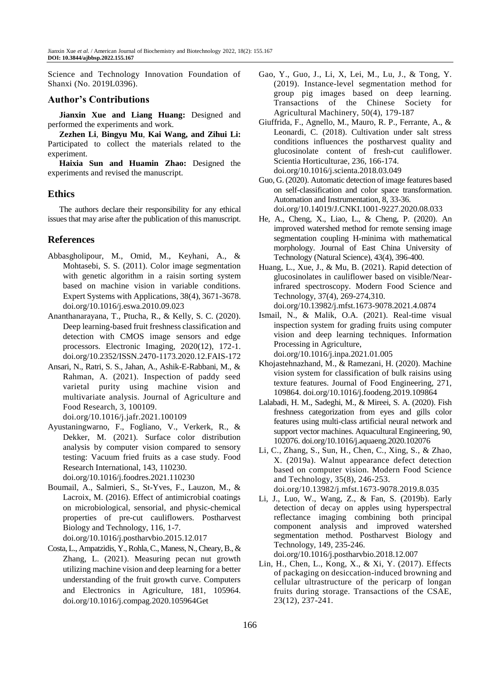Science and Technology Innovation Foundation of Shanxi (No. 2019L0396).

## **Author's Contributions**

**Jianxin Xue and Liang Huang:** Designed and performed the experiments and work.

**Zezhen Li**, **Bingyu Mu**, **Kai Wang, and Zihui Li:** Participated to collect the materials related to the experiment.

**Haixia Sun and Huamin Zhao:** Designed the experiments and revised the manuscript.

## **Ethics**

The authors declare their responsibility for any ethical issues that may arise after the publication of this manuscript.

## **References**

- Abbasgholipour, M., Omid, M., Keyhani, A., & Mohtasebi, S. S. (2011). Color image segmentation with genetic algorithm in a raisin sorting system based on machine vision in variable conditions. Expert Systems with Applications, 38(4), 3671-3678. doi.org/10.1016/j.eswa.2010.09.023
- Ananthanarayana, T., Ptucha, R., & Kelly, S. C. (2020). Deep learning-based fruit freshness classification and detection with CMOS image sensors and edge processors. Electronic Imaging, 2020(12), 172-1. [doi.org/10.2352/ISSN.2470-1173.2020.12.FAIS-172](https://doi.org/10.2352/ISSN.2470-1173.2020.12.FAIS-172)
- Ansari, N., Ratri, S. S., Jahan, A., Ashik-E-Rabbani, M., & Rahman, A. (2021). Inspection of paddy seed varietal purity using machine vision and multivariate analysis. Journal of Agriculture and Food Research, 3, 100109. [doi.org/10.1016/j.jafr.2021.100109](https://doi.org/10.1016/j.jafr.2021.100109)
- Ayustaningwarno, F., Fogliano, V., Verkerk, R., & Dekker, M. (2021). Surface color distribution analysis by computer vision compared to sensory testing: Vacuum fried fruits as a case study. Food Research International, 143, 110230. [doi.org/10.1016/j.foodres.2021.110230](https://doi.org/10.1016/j.foodres.2021.110230)
- Boumail, A., Salmieri, S., St-Yves, F., Lauzon, M., & Lacroix, M. (2016). Effect of antimicrobial coatings on microbiological, sensorial, and physic-chemical properties of pre-cut cauliflowers. Postharvest Biology and Technology, 116, 1-7. [doi.org/10.1016/j.postharvbio.2015.12.017](https://doi.org/10.1016/j.postharvbio.2015.12.017)
- Costa, L., Ampatzidis, Y., Rohla, C., Maness, N., Cheary, B., & Zhang, L. (2021). Measuring pecan nut growth utilizing machine vision and deep learning for a better understanding of the fruit growth curve. Computers and Electronics in Agriculture, 181, 105964. [doi.org/10.1016/j.compag.2020.105964Get](https://doi.org/10.1016/j.compag.2020.105964)
- Gao, Y., Guo, J., Li, X, Lei, M., Lu, J., & Tong, Y. (2019). Instance-level segmentation method for group pig images based on deep learning. Transactions of the Chinese Society for Agricultural Machinery, 50(4), 179-187
- Giuffrida, F., Agnello, M., Mauro, R. P., Ferrante, A., & Leonardi, C. (2018). Cultivation under salt stress conditions influences the postharvest quality and glucosinolate content of fresh-cut cauliflower. Scientia Horticulturae, 236, 166-174. [doi.org/10.1016/j.scienta.2018.03.049](https://doi.org/10.1016/j.scienta.2018.03.049)
- Guo, G. (2020). Automatic detection of image features based on self-classification and color space transformation. Automation and Instrumentation, 8, 33-36. doi.org/10.14019/J.CNKI.1001-9227.2020.08.033
- He, A., Cheng, X., Liao, L., & Cheng, P. (2020). An improved watershed method for remote sensing image segmentation coupling H-minima with mathematical morphology. Journal of East China University of Technology (Natural Science), 43(4), 396-400.
- Huang, L., Xue, J., & Mu, B. (2021). Rapid detection of glucosinolates in cauliflower based on visible/Nearinfrared spectroscopy. Modern Food Science and Technology, 37(4), 269-274,310.

doi.org/10.13982/j.mfst.1673-9078.2021.4.0874

- Ismail, N., & Malik, O.A. (2021). Real-time visual inspection system for grading fruits using computer vision and deep learning techniques. Information Processing in Agriculture, doi.org/10.1016/j.inpa.2021.01.005
- Khojastehnazhand, M., & Ramezani, H. (2020). Machine vision system for classification of bulk raisins using texture features. Journal of Food Engineering, 271, 109864. doi.org/10.1016/j.foodeng.2019.109864
- Lalabadi, H. M., Sadeghi, M., & Mireei, S. A. (2020). Fish freshness categorization from eyes and gills color features using multi-class artificial neural network and support vector machines. Aquacultural Engineering, 90, 102076. doi.org/10.1016/j.aquaeng.2020.102076
- Li, C., Zhang, S., Sun, H., Chen, C., Xing, S., & Zhao, X. (2019a). Walnut appearance defect detection based on computer vision. Modern Food Science and Technology, 35(8), 246-253. doi.org/10.13982/j.mfst.1673-9078.2019.8.035
- Li, J., Luo, W., Wang, Z., & Fan, S. (2019b). Early detection of decay on apples using hyperspectral reflectance imaging combining both principal component analysis and improved watershed segmentation method. Postharvest Biology and Technology, 149, 235-246. doi.org/10.1016/j.postharvbio.2018.12.007
- Lin, H., Chen, L., Kong, X., & Xi, Y. (2017). Effects of packaging on desiccation-induced browning and cellular ultrastructure of the pericarp of longan fruits during storage. Transactions of the CSAE, 23(12), 237-241.